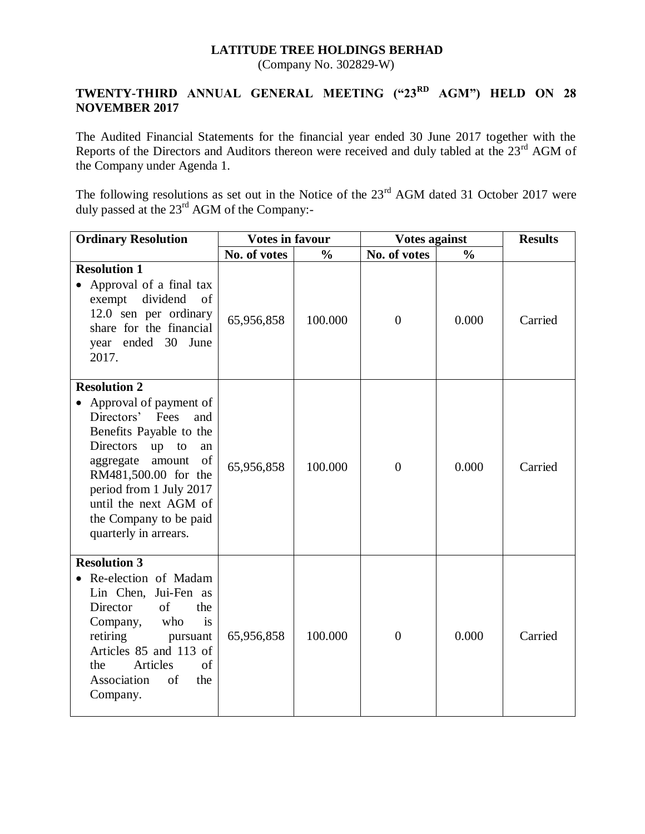## **LATITUDE TREE HOLDINGS BERHAD**

(Company No. 302829-W)

## **TWENTY-THIRD ANNUAL GENERAL MEETING ("23RD AGM") HELD ON 28 NOVEMBER 2017**

The Audited Financial Statements for the financial year ended 30 June 2017 together with the Reports of the Directors and Auditors thereon were received and duly tabled at the 23<sup>rd</sup> AGM of the Company under Agenda 1.

The following resolutions as set out in the Notice of the  $23<sup>rd</sup>$  AGM dated 31 October 2017 were duly passed at the  $23<sup>rd</sup>$  AGM of the Company:-

| <b>Ordinary Resolution</b>                                                                                                                                                                                                                                                                    | <b>Votes in favour</b> |               | <b>Votes against</b> |               | <b>Results</b> |
|-----------------------------------------------------------------------------------------------------------------------------------------------------------------------------------------------------------------------------------------------------------------------------------------------|------------------------|---------------|----------------------|---------------|----------------|
|                                                                                                                                                                                                                                                                                               | No. of votes           | $\frac{0}{0}$ | No. of votes         | $\frac{0}{0}$ |                |
| <b>Resolution 1</b><br>Approval of a final tax<br>$\bullet$<br>dividend<br>exempt<br>of<br>12.0 sen per ordinary<br>share for the financial<br>year ended 30<br>June<br>2017.                                                                                                                 | 65,956,858             | 100.000       | $\overline{0}$       | 0.000         | Carried        |
| <b>Resolution 2</b><br>Approval of payment of<br>Directors' Fees<br>and<br>Benefits Payable to the<br>Directors<br>up<br>to<br>an<br>of<br>amount<br>aggregate<br>RM481,500.00 for the<br>period from 1 July 2017<br>until the next AGM of<br>the Company to be paid<br>quarterly in arrears. | 65,956,858             | 100.000       | $\theta$             | 0.000         | Carried        |
| <b>Resolution 3</b><br>Re-election of Madam<br>Lin Chen, Jui-Fen as<br>of<br>the<br>Director<br>Company,<br>who<br>is<br>retiring<br>pursuant<br>Articles 85 and 113 of<br>of<br>Articles<br>the<br>of<br>Association<br>the<br>Company.                                                      | 65,956,858             | 100.000       | $\overline{0}$       | 0.000         | Carried        |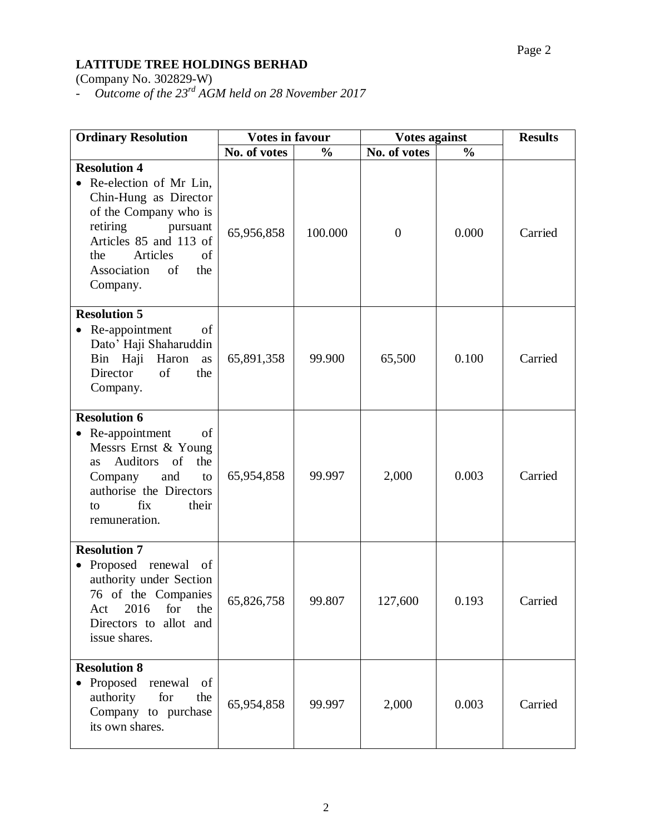## **LATITUDE TREE HOLDINGS BERHAD**

(Company No. 302829-W)

- *Outcome of the 23rd AGM held on 28 November 2017*

| <b>Ordinary Resolution</b>                                                                                                                                                                                         | <b>Votes in favour</b> |               | <b>Votes against</b> |               | <b>Results</b> |
|--------------------------------------------------------------------------------------------------------------------------------------------------------------------------------------------------------------------|------------------------|---------------|----------------------|---------------|----------------|
|                                                                                                                                                                                                                    | No. of votes           | $\frac{0}{0}$ | No. of votes         | $\frac{0}{0}$ |                |
| <b>Resolution 4</b><br>Re-election of Mr Lin,<br>Chin-Hung as Director<br>of the Company who is<br>retiring<br>pursuant<br>Articles 85 and 113 of<br>Articles<br>of<br>the<br>Association<br>of<br>the<br>Company. | 65,956,858             | 100.000       | $\overline{0}$       | 0.000         | Carried        |
| <b>Resolution 5</b><br>Re-appointment<br>of<br>Dato' Haji Shaharuddin<br>Bin Haji Haron<br>as<br>Director<br>of<br>the<br>Company.                                                                                 | 65,891,358             | 99.900        | 65,500               | 0.100         | Carried        |
| <b>Resolution 6</b><br>Re-appointment<br>of<br>Messrs Ernst & Young<br>Auditors of<br>the<br>as<br>and<br>Company<br>to<br>authorise the Directors<br>fix<br>their<br>to<br>remuneration.                          | 65,954,858             | 99.997        | 2,000                | 0.003         | Carried        |
| <b>Resolution 7</b><br>Proposed renewal of<br>authority under Section<br>76 of the Companies<br>2016<br>for<br>Act<br>the<br>allot and<br>Directors to<br>issue shares.                                            | 65,826,758             | 99.807        | 127,600              | 0.193         | Carried        |
| <b>Resolution 8</b><br>Proposed<br>renewal<br>of<br>authority<br>for<br>the<br>Company to purchase<br>its own shares.                                                                                              | 65,954,858             | 99.997        | 2,000                | 0.003         | Carried        |